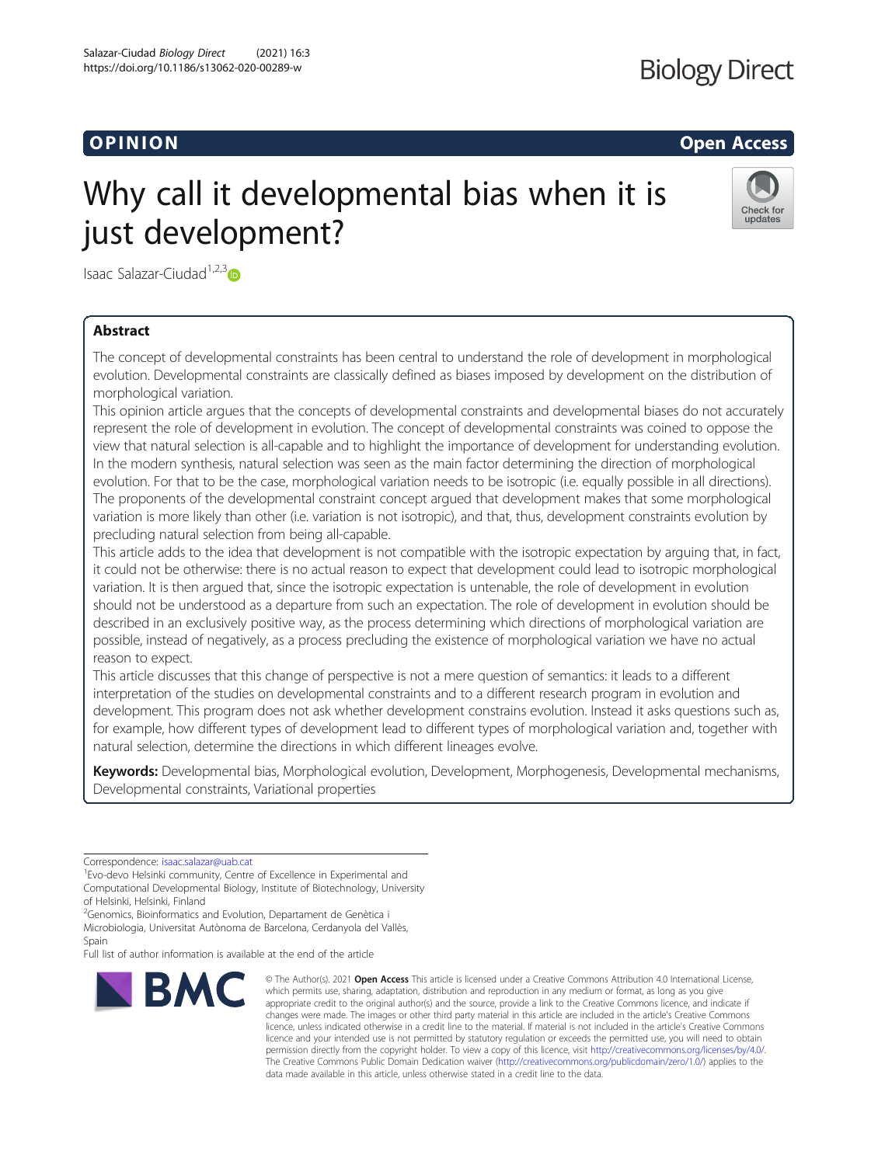## O PINION Open Access

# Why call it developmental bias when it is just development?



Isaac Salazar-Ciudad<sup>1,2,[3](http://orcid.org/0000-0003-1607-0962)</sup> $\bullet$ 

## Abstract

The concept of developmental constraints has been central to understand the role of development in morphological evolution. Developmental constraints are classically defined as biases imposed by development on the distribution of morphological variation.

This opinion article argues that the concepts of developmental constraints and developmental biases do not accurately represent the role of development in evolution. The concept of developmental constraints was coined to oppose the view that natural selection is all-capable and to highlight the importance of development for understanding evolution. In the modern synthesis, natural selection was seen as the main factor determining the direction of morphological evolution. For that to be the case, morphological variation needs to be isotropic (i.e. equally possible in all directions). The proponents of the developmental constraint concept argued that development makes that some morphological variation is more likely than other (i.e. variation is not isotropic), and that, thus, development constraints evolution by precluding natural selection from being all-capable.

This article adds to the idea that development is not compatible with the isotropic expectation by arguing that, in fact, it could not be otherwise: there is no actual reason to expect that development could lead to isotropic morphological variation. It is then argued that, since the isotropic expectation is untenable, the role of development in evolution should not be understood as a departure from such an expectation. The role of development in evolution should be described in an exclusively positive way, as the process determining which directions of morphological variation are possible, instead of negatively, as a process precluding the existence of morphological variation we have no actual reason to expect.

This article discusses that this change of perspective is not a mere question of semantics: it leads to a different interpretation of the studies on developmental constraints and to a different research program in evolution and development. This program does not ask whether development constrains evolution. Instead it asks questions such as, for example, how different types of development lead to different types of morphological variation and, together with natural selection, determine the directions in which different lineages evolve.

Keywords: Developmental bias, Morphological evolution, Development, Morphogenesis, Developmental mechanisms, Developmental constraints, Variational properties

Full list of author information is available at the end of the article



<sup>©</sup> The Author(s), 2021 **Open Access** This article is licensed under a Creative Commons Attribution 4.0 International License, which permits use, sharing, adaptation, distribution and reproduction in any medium or format, as long as you give appropriate credit to the original author(s) and the source, provide a link to the Creative Commons licence, and indicate if changes were made. The images or other third party material in this article are included in the article's Creative Commons licence, unless indicated otherwise in a credit line to the material. If material is not included in the article's Creative Commons licence and your intended use is not permitted by statutory regulation or exceeds the permitted use, you will need to obtain permission directly from the copyright holder. To view a copy of this licence, visit [http://creativecommons.org/licenses/by/4.0/.](http://creativecommons.org/licenses/by/4.0/) The Creative Commons Public Domain Dedication waiver [\(http://creativecommons.org/publicdomain/zero/1.0/](http://creativecommons.org/publicdomain/zero/1.0/)) applies to the data made available in this article, unless otherwise stated in a credit line to the data.

Correspondence: [isaac.salazar@uab.cat](mailto:isaac.salazar@uab.cat)

<sup>&</sup>lt;sup>1</sup> Evo-devo Helsinki community, Centre of Excellence in Experimental and Computational Developmental Biology, Institute of Biotechnology, University of Helsinki, Helsinki, Finland

<sup>&</sup>lt;sup>2</sup>Genomics, Bioinformatics and Evolution, Departament de Genètica i Microbiologia, Universitat Autònoma de Barcelona, Cerdanyola del Vallès, Spain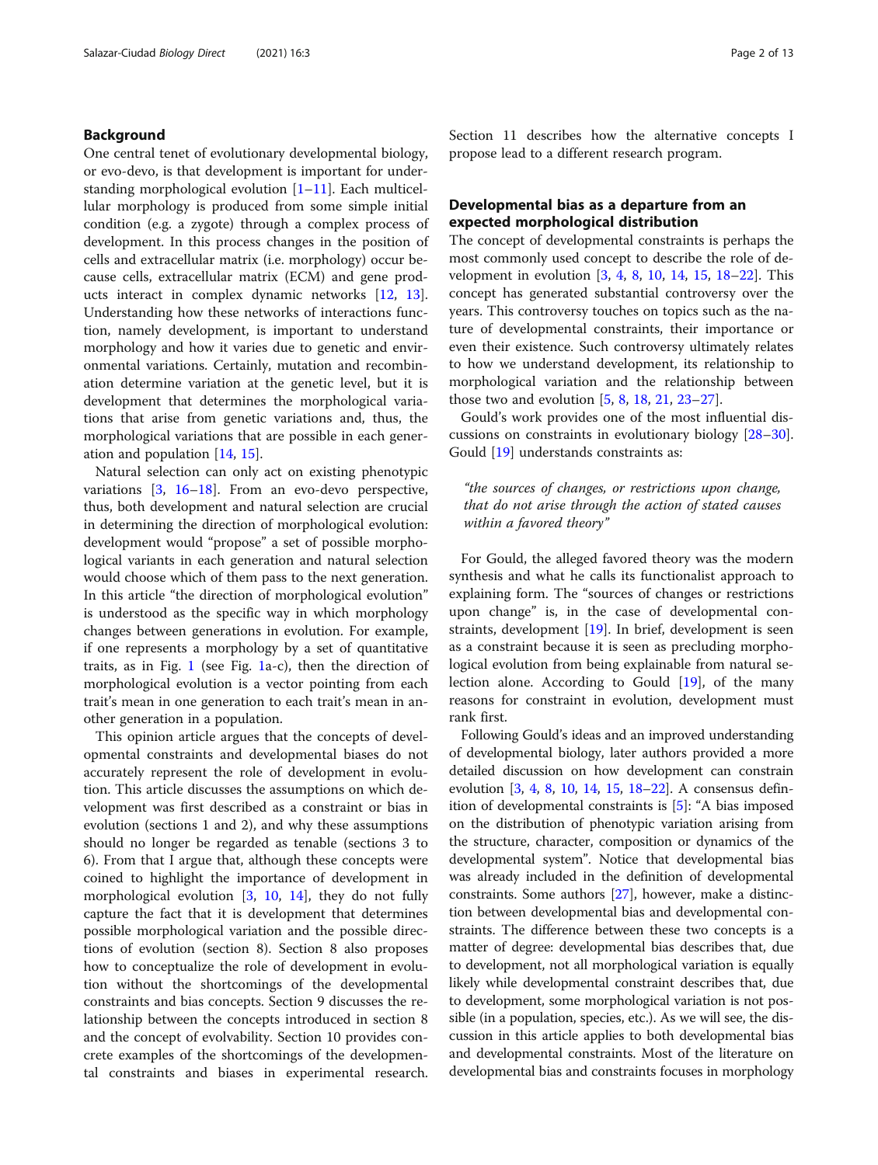## Background

One central tenet of evolutionary developmental biology, or evo-devo, is that development is important for understanding morphological evolution [[1](#page-11-0)–[11](#page-11-0)]. Each multicellular morphology is produced from some simple initial condition (e.g. a zygote) through a complex process of development. In this process changes in the position of cells and extracellular matrix (i.e. morphology) occur because cells, extracellular matrix (ECM) and gene products interact in complex dynamic networks [[12](#page-11-0), [13](#page-11-0)]. Understanding how these networks of interactions function, namely development, is important to understand morphology and how it varies due to genetic and environmental variations. Certainly, mutation and recombination determine variation at the genetic level, but it is development that determines the morphological variations that arise from genetic variations and, thus, the morphological variations that are possible in each generation and population [\[14](#page-11-0), [15](#page-11-0)].

Natural selection can only act on existing phenotypic variations [[3](#page-11-0), [16](#page-11-0)–[18](#page-11-0)]. From an evo-devo perspective, thus, both development and natural selection are crucial in determining the direction of morphological evolution: development would "propose" a set of possible morphological variants in each generation and natural selection would choose which of them pass to the next generation. In this article "the direction of morphological evolution" is understood as the specific way in which morphology changes between generations in evolution. For example, if one represents a morphology by a set of quantitative traits, as in Fig. [1](#page-2-0) (see Fig. [1](#page-2-0)a-c), then the direction of morphological evolution is a vector pointing from each trait's mean in one generation to each trait's mean in another generation in a population.

This opinion article argues that the concepts of developmental constraints and developmental biases do not accurately represent the role of development in evolution. This article discusses the assumptions on which development was first described as a constraint or bias in evolution (sections 1 and 2), and why these assumptions should no longer be regarded as tenable (sections 3 to 6). From that I argue that, although these concepts were coined to highlight the importance of development in morphological evolution [[3,](#page-11-0) [10,](#page-11-0) [14\]](#page-11-0), they do not fully capture the fact that it is development that determines possible morphological variation and the possible directions of evolution (section 8). Section 8 also proposes how to conceptualize the role of development in evolution without the shortcomings of the developmental constraints and bias concepts. Section 9 discusses the relationship between the concepts introduced in section 8 and the concept of evolvability. Section 10 provides concrete examples of the shortcomings of the developmental constraints and biases in experimental research. Section 11 describes how the alternative concepts I propose lead to a different research program.

## Developmental bias as a departure from an expected morphological distribution

The concept of developmental constraints is perhaps the most commonly used concept to describe the role of development in evolution [[3](#page-11-0), [4](#page-11-0), [8,](#page-11-0) [10](#page-11-0), [14,](#page-11-0) [15](#page-11-0), [18](#page-11-0)–[22](#page-11-0)]. This concept has generated substantial controversy over the years. This controversy touches on topics such as the nature of developmental constraints, their importance or even their existence. Such controversy ultimately relates to how we understand development, its relationship to morphological variation and the relationship between those two and evolution [[5,](#page-11-0) [8,](#page-11-0) [18,](#page-11-0) [21](#page-11-0), [23](#page-11-0)–[27](#page-11-0)].

Gould's work provides one of the most influential discussions on constraints in evolutionary biology [[28](#page-11-0)–[30](#page-12-0)]. Gould [\[19](#page-11-0)] understands constraints as:

"the sources of changes, or restrictions upon change, that do not arise through the action of stated causes within a favored theory"

For Gould, the alleged favored theory was the modern synthesis and what he calls its functionalist approach to explaining form. The "sources of changes or restrictions upon change" is, in the case of developmental constraints, development [[19](#page-11-0)]. In brief, development is seen as a constraint because it is seen as precluding morphological evolution from being explainable from natural selection alone. According to Gould [[19](#page-11-0)], of the many reasons for constraint in evolution, development must rank first.

Following Gould's ideas and an improved understanding of developmental biology, later authors provided a more detailed discussion on how development can constrain evolution [[3,](#page-11-0) [4](#page-11-0), [8,](#page-11-0) [10,](#page-11-0) [14](#page-11-0), [15,](#page-11-0) [18](#page-11-0)–[22](#page-11-0)]. A consensus definition of developmental constraints is [\[5\]](#page-11-0): "A bias imposed on the distribution of phenotypic variation arising from the structure, character, composition or dynamics of the developmental system". Notice that developmental bias was already included in the definition of developmental constraints. Some authors [\[27](#page-11-0)], however, make a distinction between developmental bias and developmental constraints. The difference between these two concepts is a matter of degree: developmental bias describes that, due to development, not all morphological variation is equally likely while developmental constraint describes that, due to development, some morphological variation is not possible (in a population, species, etc.). As we will see, the discussion in this article applies to both developmental bias and developmental constraints. Most of the literature on developmental bias and constraints focuses in morphology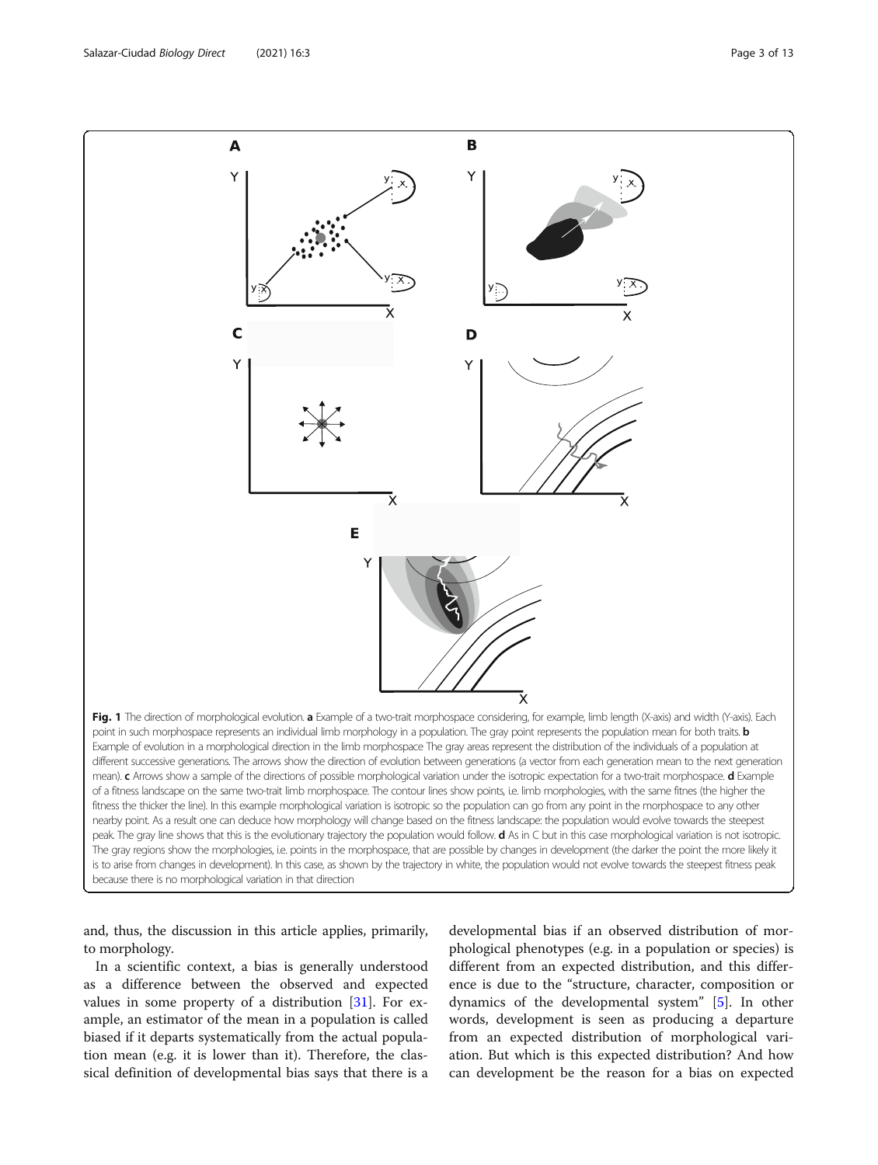and, thus, the discussion in this article applies, primarily, to morphology.

In a scientific context, a bias is generally understood as a difference between the observed and expected values in some property of a distribution [[31\]](#page-12-0). For example, an estimator of the mean in a population is called biased if it departs systematically from the actual population mean (e.g. it is lower than it). Therefore, the classical definition of developmental bias says that there is a

developmental bias if an observed distribution of morphological phenotypes (e.g. in a population or species) is different from an expected distribution, and this difference is due to the "structure, character, composition or dynamics of the developmental system" [[5](#page-11-0)]. In other words, development is seen as producing a departure from an expected distribution of morphological variation. But which is this expected distribution? And how can development be the reason for a bias on expected

<span id="page-2-0"></span>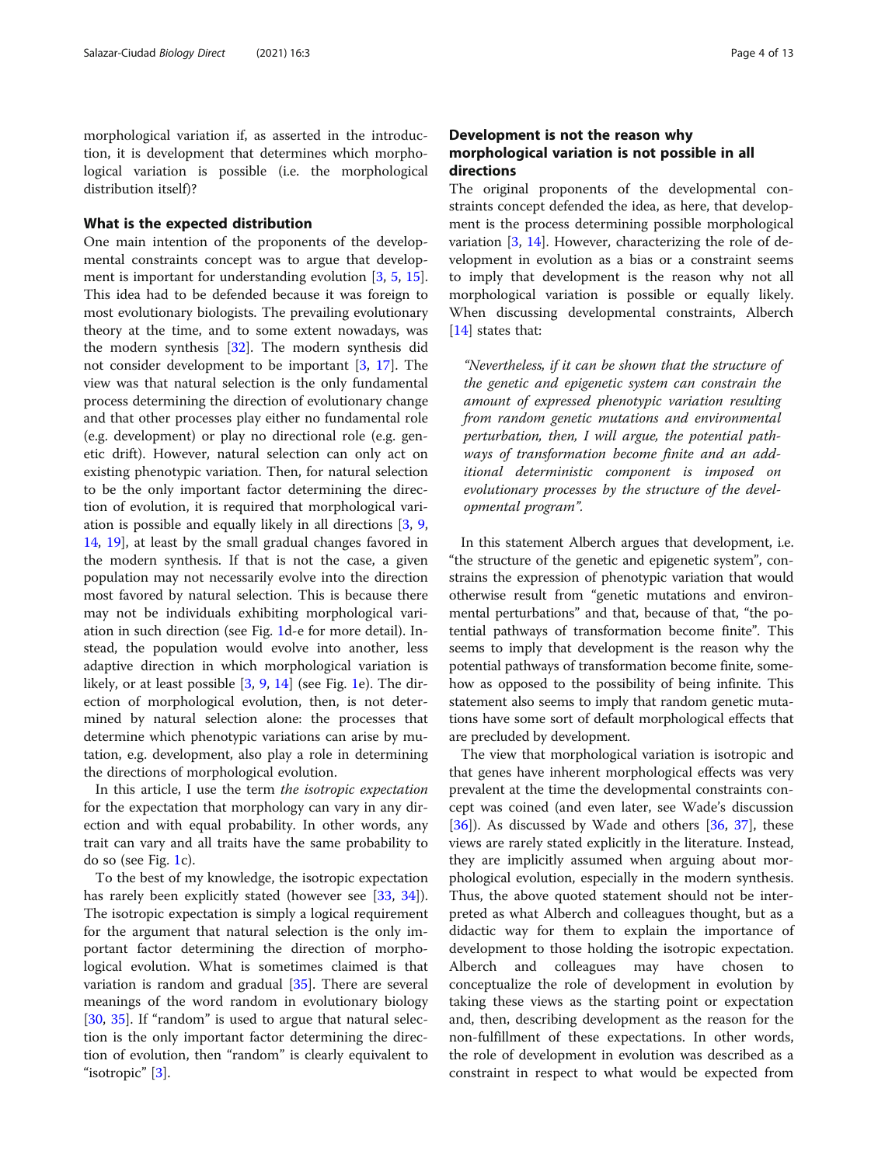morphological variation if, as asserted in the introduction, it is development that determines which morphological variation is possible (i.e. the morphological distribution itself)?

## What is the expected distribution

One main intention of the proponents of the developmental constraints concept was to argue that develop-ment is important for understanding evolution [\[3](#page-11-0), [5](#page-11-0), [15](#page-11-0)]. This idea had to be defended because it was foreign to most evolutionary biologists. The prevailing evolutionary theory at the time, and to some extent nowadays, was the modern synthesis [[32\]](#page-12-0). The modern synthesis did not consider development to be important [[3,](#page-11-0) [17\]](#page-11-0). The view was that natural selection is the only fundamental process determining the direction of evolutionary change and that other processes play either no fundamental role (e.g. development) or play no directional role (e.g. genetic drift). However, natural selection can only act on existing phenotypic variation. Then, for natural selection to be the only important factor determining the direction of evolution, it is required that morphological variation is possible and equally likely in all directions [\[3,](#page-11-0) [9](#page-11-0), [14,](#page-11-0) [19](#page-11-0)], at least by the small gradual changes favored in the modern synthesis. If that is not the case, a given population may not necessarily evolve into the direction most favored by natural selection. This is because there may not be individuals exhibiting morphological variation in such direction (see Fig. [1d](#page-2-0)-e for more detail). Instead, the population would evolve into another, less adaptive direction in which morphological variation is likely, or at least possible [[3,](#page-11-0) [9,](#page-11-0) [14\]](#page-11-0) (see Fig. [1](#page-2-0)e). The direction of morphological evolution, then, is not determined by natural selection alone: the processes that determine which phenotypic variations can arise by mutation, e.g. development, also play a role in determining the directions of morphological evolution.

In this article, I use the term the isotropic expectation for the expectation that morphology can vary in any direction and with equal probability. In other words, any trait can vary and all traits have the same probability to do so (see Fig. [1c](#page-2-0)).

To the best of my knowledge, the isotropic expectation has rarely been explicitly stated (however see [\[33,](#page-12-0) [34](#page-12-0)]). The isotropic expectation is simply a logical requirement for the argument that natural selection is the only important factor determining the direction of morphological evolution. What is sometimes claimed is that variation is random and gradual [\[35\]](#page-12-0). There are several meanings of the word random in evolutionary biology [[30,](#page-12-0) [35](#page-12-0)]. If "random" is used to argue that natural selection is the only important factor determining the direction of evolution, then "random" is clearly equivalent to "isotropic" [[3](#page-11-0)].

## Development is not the reason why morphological variation is not possible in all directions

The original proponents of the developmental constraints concept defended the idea, as here, that development is the process determining possible morphological variation [\[3,](#page-11-0) [14](#page-11-0)]. However, characterizing the role of development in evolution as a bias or a constraint seems to imply that development is the reason why not all morphological variation is possible or equally likely. When discussing developmental constraints, Alberch [[14\]](#page-11-0) states that:

"Nevertheless, if it can be shown that the structure of the genetic and epigenetic system can constrain the amount of expressed phenotypic variation resulting from random genetic mutations and environmental perturbation, then, I will argue, the potential pathways of transformation become finite and an additional deterministic component is imposed on evolutionary processes by the structure of the developmental program".

In this statement Alberch argues that development, i.e. "the structure of the genetic and epigenetic system", constrains the expression of phenotypic variation that would otherwise result from "genetic mutations and environmental perturbations" and that, because of that, "the potential pathways of transformation become finite". This seems to imply that development is the reason why the potential pathways of transformation become finite, somehow as opposed to the possibility of being infinite. This statement also seems to imply that random genetic mutations have some sort of default morphological effects that are precluded by development.

The view that morphological variation is isotropic and that genes have inherent morphological effects was very prevalent at the time the developmental constraints concept was coined (and even later, see Wade's discussion  $[36]$  $[36]$ ). As discussed by Wade and others  $[36, 37]$  $[36, 37]$  $[36, 37]$  $[36, 37]$ , these views are rarely stated explicitly in the literature. Instead, they are implicitly assumed when arguing about morphological evolution, especially in the modern synthesis. Thus, the above quoted statement should not be interpreted as what Alberch and colleagues thought, but as a didactic way for them to explain the importance of development to those holding the isotropic expectation. Alberch and colleagues may have chosen to conceptualize the role of development in evolution by taking these views as the starting point or expectation and, then, describing development as the reason for the non-fulfillment of these expectations. In other words, the role of development in evolution was described as a constraint in respect to what would be expected from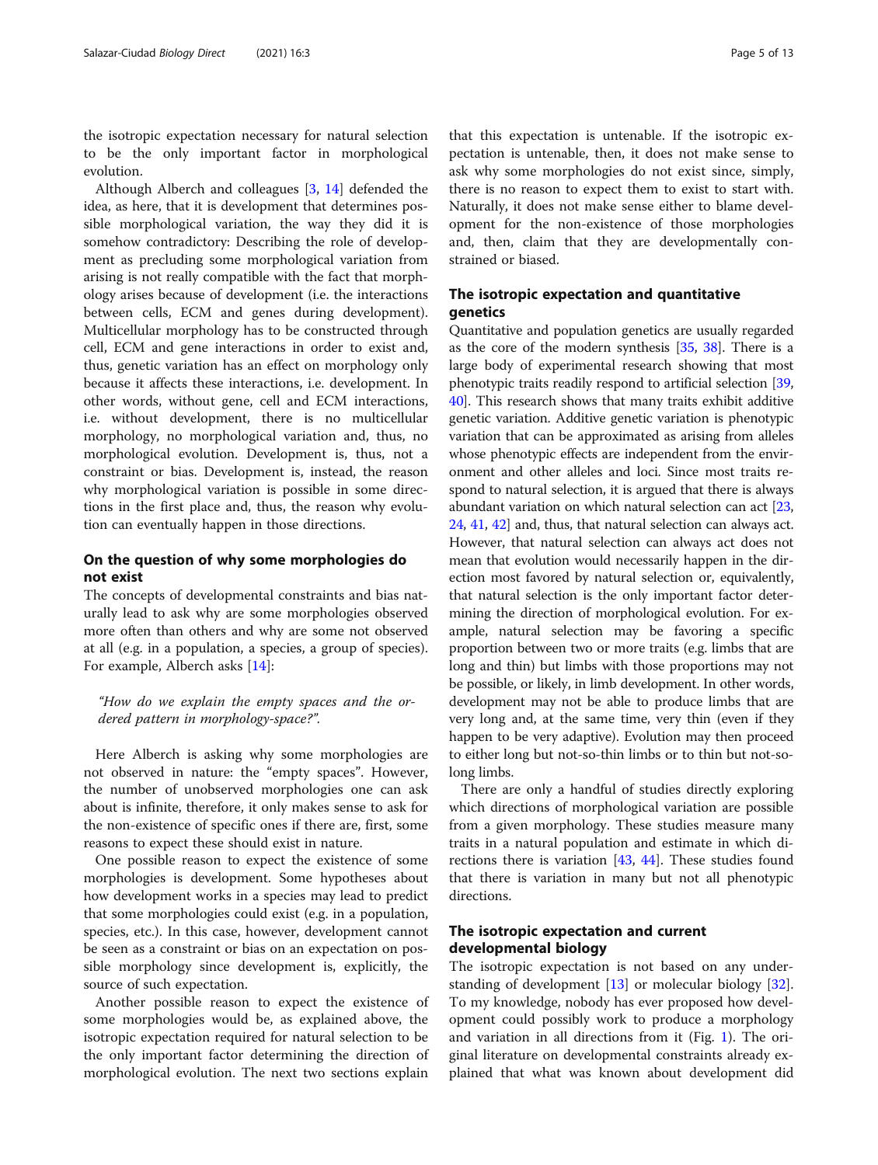the isotropic expectation necessary for natural selection to be the only important factor in morphological evolution.

Although Alberch and colleagues [[3,](#page-11-0) [14](#page-11-0)] defended the idea, as here, that it is development that determines possible morphological variation, the way they did it is somehow contradictory: Describing the role of development as precluding some morphological variation from arising is not really compatible with the fact that morphology arises because of development (i.e. the interactions between cells, ECM and genes during development). Multicellular morphology has to be constructed through cell, ECM and gene interactions in order to exist and, thus, genetic variation has an effect on morphology only because it affects these interactions, i.e. development. In other words, without gene, cell and ECM interactions, i.e. without development, there is no multicellular morphology, no morphological variation and, thus, no morphological evolution. Development is, thus, not a constraint or bias. Development is, instead, the reason why morphological variation is possible in some directions in the first place and, thus, the reason why evolution can eventually happen in those directions.

## On the question of why some morphologies do not exist

The concepts of developmental constraints and bias naturally lead to ask why are some morphologies observed more often than others and why are some not observed at all (e.g. in a population, a species, a group of species). For example, Alberch asks [[14\]](#page-11-0):

"How do we explain the empty spaces and the ordered pattern in morphology-space?".

Here Alberch is asking why some morphologies are not observed in nature: the "empty spaces". However, the number of unobserved morphologies one can ask about is infinite, therefore, it only makes sense to ask for the non-existence of specific ones if there are, first, some reasons to expect these should exist in nature.

One possible reason to expect the existence of some morphologies is development. Some hypotheses about how development works in a species may lead to predict that some morphologies could exist (e.g. in a population, species, etc.). In this case, however, development cannot be seen as a constraint or bias on an expectation on possible morphology since development is, explicitly, the source of such expectation.

Another possible reason to expect the existence of some morphologies would be, as explained above, the isotropic expectation required for natural selection to be the only important factor determining the direction of morphological evolution. The next two sections explain

that this expectation is untenable. If the isotropic expectation is untenable, then, it does not make sense to ask why some morphologies do not exist since, simply, there is no reason to expect them to exist to start with. Naturally, it does not make sense either to blame development for the non-existence of those morphologies and, then, claim that they are developmentally constrained or biased.

## The isotropic expectation and quantitative genetics

Quantitative and population genetics are usually regarded as the core of the modern synthesis [[35](#page-12-0), [38\]](#page-12-0). There is a large body of experimental research showing that most phenotypic traits readily respond to artificial selection [[39](#page-12-0), [40](#page-12-0)]. This research shows that many traits exhibit additive genetic variation. Additive genetic variation is phenotypic variation that can be approximated as arising from alleles whose phenotypic effects are independent from the environment and other alleles and loci. Since most traits respond to natural selection, it is argued that there is always abundant variation on which natural selection can act [[23](#page-11-0), [24](#page-11-0), [41,](#page-12-0) [42\]](#page-12-0) and, thus, that natural selection can always act. However, that natural selection can always act does not mean that evolution would necessarily happen in the direction most favored by natural selection or, equivalently, that natural selection is the only important factor determining the direction of morphological evolution. For example, natural selection may be favoring a specific proportion between two or more traits (e.g. limbs that are long and thin) but limbs with those proportions may not be possible, or likely, in limb development. In other words, development may not be able to produce limbs that are very long and, at the same time, very thin (even if they happen to be very adaptive). Evolution may then proceed to either long but not-so-thin limbs or to thin but not-solong limbs.

There are only a handful of studies directly exploring which directions of morphological variation are possible from a given morphology. These studies measure many traits in a natural population and estimate in which directions there is variation [\[43,](#page-12-0) [44\]](#page-12-0). These studies found that there is variation in many but not all phenotypic directions.

## The isotropic expectation and current developmental biology

The isotropic expectation is not based on any understanding of development [[13\]](#page-11-0) or molecular biology [\[32](#page-12-0)]. To my knowledge, nobody has ever proposed how development could possibly work to produce a morphology and variation in all directions from it (Fig. [1\)](#page-2-0). The original literature on developmental constraints already explained that what was known about development did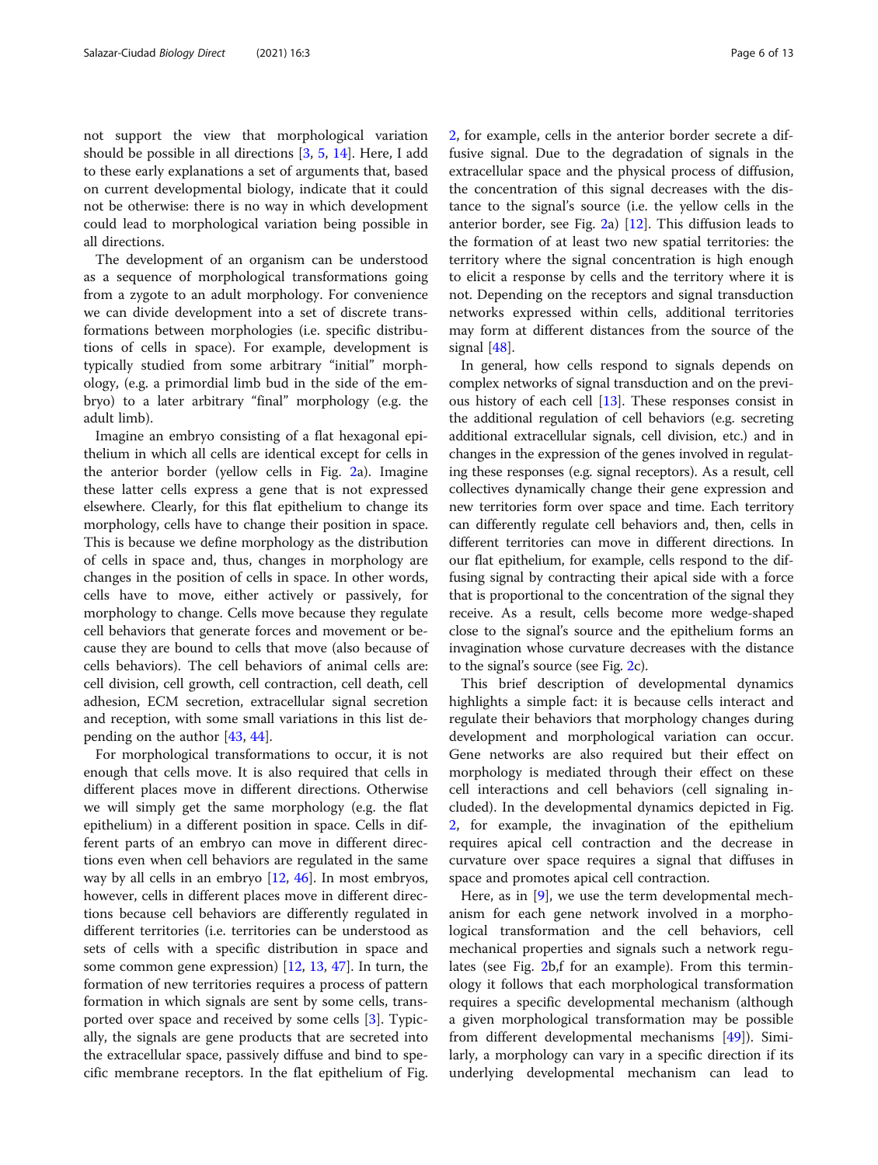not support the view that morphological variation should be possible in all directions [[3](#page-11-0), [5,](#page-11-0) [14\]](#page-11-0). Here, I add to these early explanations a set of arguments that, based on current developmental biology, indicate that it could not be otherwise: there is no way in which development could lead to morphological variation being possible in all directions.

The development of an organism can be understood as a sequence of morphological transformations going from a zygote to an adult morphology. For convenience we can divide development into a set of discrete transformations between morphologies (i.e. specific distributions of cells in space). For example, development is typically studied from some arbitrary "initial" morphology, (e.g. a primordial limb bud in the side of the embryo) to a later arbitrary "final" morphology (e.g. the adult limb).

Imagine an embryo consisting of a flat hexagonal epithelium in which all cells are identical except for cells in the anterior border (yellow cells in Fig. [2](#page-6-0)a). Imagine these latter cells express a gene that is not expressed elsewhere. Clearly, for this flat epithelium to change its morphology, cells have to change their position in space. This is because we define morphology as the distribution of cells in space and, thus, changes in morphology are changes in the position of cells in space. In other words, cells have to move, either actively or passively, for morphology to change. Cells move because they regulate cell behaviors that generate forces and movement or because they are bound to cells that move (also because of cells behaviors). The cell behaviors of animal cells are: cell division, cell growth, cell contraction, cell death, cell adhesion, ECM secretion, extracellular signal secretion and reception, with some small variations in this list depending on the author [[43,](#page-12-0) [44\]](#page-12-0).

For morphological transformations to occur, it is not enough that cells move. It is also required that cells in different places move in different directions. Otherwise we will simply get the same morphology (e.g. the flat epithelium) in a different position in space. Cells in different parts of an embryo can move in different directions even when cell behaviors are regulated in the same way by all cells in an embryo [\[12](#page-11-0), [46](#page-12-0)]. In most embryos, however, cells in different places move in different directions because cell behaviors are differently regulated in different territories (i.e. territories can be understood as sets of cells with a specific distribution in space and some common gene expression) [\[12,](#page-11-0) [13,](#page-11-0) [47\]](#page-12-0). In turn, the formation of new territories requires a process of pattern formation in which signals are sent by some cells, transported over space and received by some cells [\[3](#page-11-0)]. Typically, the signals are gene products that are secreted into the extracellular space, passively diffuse and bind to specific membrane receptors. In the flat epithelium of Fig. [2,](#page-6-0) for example, cells in the anterior border secrete a diffusive signal. Due to the degradation of signals in the extracellular space and the physical process of diffusion, the concentration of this signal decreases with the distance to the signal's source (i.e. the yellow cells in the anterior border, see Fig. [2a](#page-6-0)) [[12\]](#page-11-0). This diffusion leads to the formation of at least two new spatial territories: the territory where the signal concentration is high enough to elicit a response by cells and the territory where it is not. Depending on the receptors and signal transduction networks expressed within cells, additional territories may form at different distances from the source of the signal [\[48](#page-12-0)].

In general, how cells respond to signals depends on complex networks of signal transduction and on the previous history of each cell [\[13\]](#page-11-0). These responses consist in the additional regulation of cell behaviors (e.g. secreting additional extracellular signals, cell division, etc.) and in changes in the expression of the genes involved in regulating these responses (e.g. signal receptors). As a result, cell collectives dynamically change their gene expression and new territories form over space and time. Each territory can differently regulate cell behaviors and, then, cells in different territories can move in different directions. In our flat epithelium, for example, cells respond to the diffusing signal by contracting their apical side with a force that is proportional to the concentration of the signal they receive. As a result, cells become more wedge-shaped close to the signal's source and the epithelium forms an invagination whose curvature decreases with the distance to the signal's source (see Fig. [2](#page-6-0)c).

This brief description of developmental dynamics highlights a simple fact: it is because cells interact and regulate their behaviors that morphology changes during development and morphological variation can occur. Gene networks are also required but their effect on morphology is mediated through their effect on these cell interactions and cell behaviors (cell signaling included). In the developmental dynamics depicted in Fig. [2,](#page-6-0) for example, the invagination of the epithelium requires apical cell contraction and the decrease in curvature over space requires a signal that diffuses in space and promotes apical cell contraction.

Here, as in  $[9]$  $[9]$ , we use the term developmental mechanism for each gene network involved in a morphological transformation and the cell behaviors, cell mechanical properties and signals such a network regulates (see Fig. [2](#page-6-0)b,f for an example). From this terminology it follows that each morphological transformation requires a specific developmental mechanism (although a given morphological transformation may be possible from different developmental mechanisms [\[49\]](#page-12-0)). Similarly, a morphology can vary in a specific direction if its underlying developmental mechanism can lead to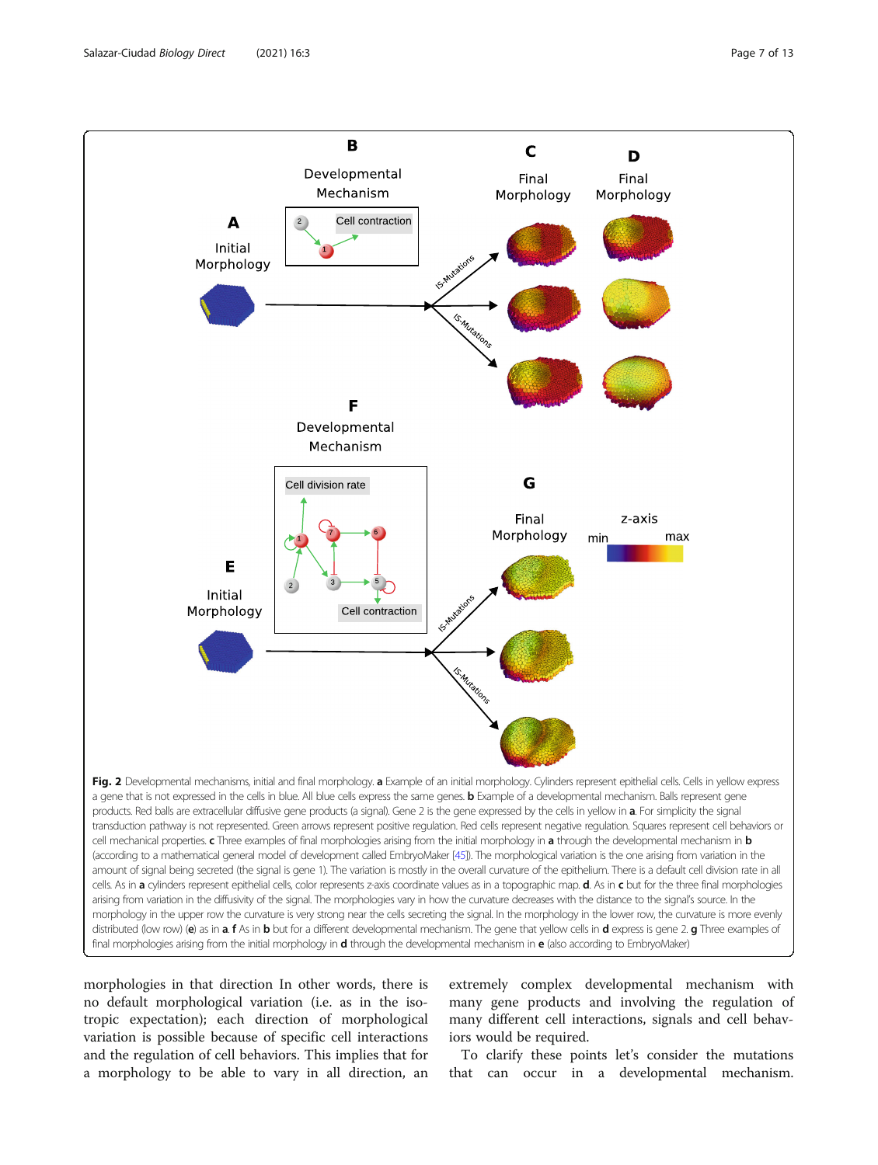<span id="page-6-0"></span>

morphologies in that direction In other words, there is no default morphological variation (i.e. as in the isotropic expectation); each direction of morphological variation is possible because of specific cell interactions and the regulation of cell behaviors. This implies that for a morphology to be able to vary in all direction, an

extremely complex developmental mechanism with many gene products and involving the regulation of many different cell interactions, signals and cell behaviors would be required.

To clarify these points let's consider the mutations that can occur in a developmental mechanism.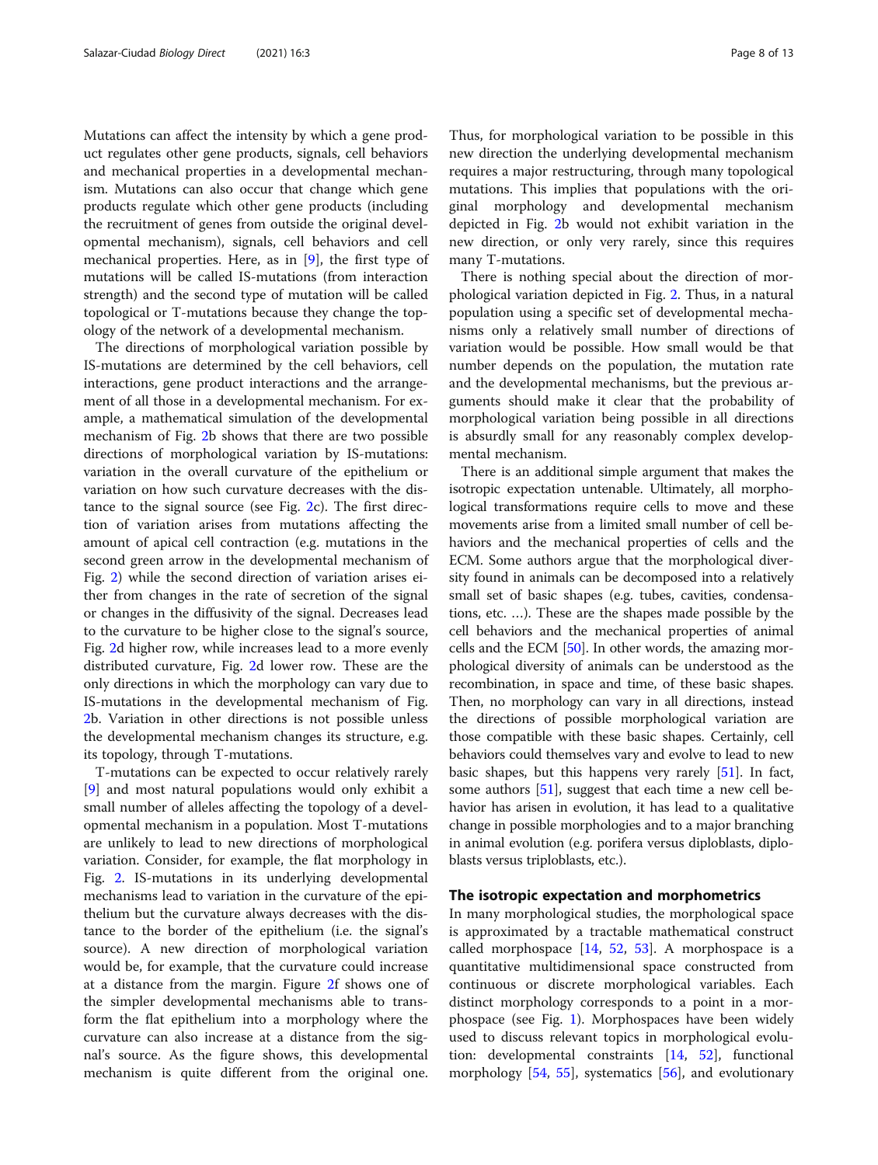Mutations can affect the intensity by which a gene product regulates other gene products, signals, cell behaviors and mechanical properties in a developmental mechanism. Mutations can also occur that change which gene products regulate which other gene products (including the recruitment of genes from outside the original developmental mechanism), signals, cell behaviors and cell mechanical properties. Here, as in [\[9\]](#page-11-0), the first type of mutations will be called IS-mutations (from interaction strength) and the second type of mutation will be called topological or T-mutations because they change the topology of the network of a developmental mechanism.

The directions of morphological variation possible by IS-mutations are determined by the cell behaviors, cell interactions, gene product interactions and the arrangement of all those in a developmental mechanism. For example, a mathematical simulation of the developmental mechanism of Fig. [2b](#page-6-0) shows that there are two possible directions of morphological variation by IS-mutations: variation in the overall curvature of the epithelium or variation on how such curvature decreases with the distance to the signal source (see Fig. [2c](#page-6-0)). The first direction of variation arises from mutations affecting the amount of apical cell contraction (e.g. mutations in the second green arrow in the developmental mechanism of Fig. [2\)](#page-6-0) while the second direction of variation arises either from changes in the rate of secretion of the signal or changes in the diffusivity of the signal. Decreases lead to the curvature to be higher close to the signal's source, Fig. [2](#page-6-0)d higher row, while increases lead to a more evenly distributed curvature, Fig. [2d](#page-6-0) lower row. These are the only directions in which the morphology can vary due to IS-mutations in the developmental mechanism of Fig. [2b](#page-6-0). Variation in other directions is not possible unless the developmental mechanism changes its structure, e.g. its topology, through T-mutations.

T-mutations can be expected to occur relatively rarely [[9\]](#page-11-0) and most natural populations would only exhibit a small number of alleles affecting the topology of a developmental mechanism in a population. Most T-mutations are unlikely to lead to new directions of morphological variation. Consider, for example, the flat morphology in Fig. [2.](#page-6-0) IS-mutations in its underlying developmental mechanisms lead to variation in the curvature of the epithelium but the curvature always decreases with the distance to the border of the epithelium (i.e. the signal's source). A new direction of morphological variation would be, for example, that the curvature could increase at a distance from the margin. Figure [2f](#page-6-0) shows one of the simpler developmental mechanisms able to transform the flat epithelium into a morphology where the curvature can also increase at a distance from the signal's source. As the figure shows, this developmental mechanism is quite different from the original one.

Thus, for morphological variation to be possible in this new direction the underlying developmental mechanism requires a major restructuring, through many topological mutations. This implies that populations with the original morphology and developmental mechanism depicted in Fig. [2](#page-6-0)b would not exhibit variation in the new direction, or only very rarely, since this requires many T-mutations.

There is nothing special about the direction of morphological variation depicted in Fig. [2.](#page-6-0) Thus, in a natural population using a specific set of developmental mechanisms only a relatively small number of directions of variation would be possible. How small would be that number depends on the population, the mutation rate and the developmental mechanisms, but the previous arguments should make it clear that the probability of morphological variation being possible in all directions is absurdly small for any reasonably complex developmental mechanism.

There is an additional simple argument that makes the isotropic expectation untenable. Ultimately, all morphological transformations require cells to move and these movements arise from a limited small number of cell behaviors and the mechanical properties of cells and the ECM. Some authors argue that the morphological diversity found in animals can be decomposed into a relatively small set of basic shapes (e.g. tubes, cavities, condensations, etc. …). These are the shapes made possible by the cell behaviors and the mechanical properties of animal cells and the ECM [[50](#page-12-0)]. In other words, the amazing morphological diversity of animals can be understood as the recombination, in space and time, of these basic shapes. Then, no morphology can vary in all directions, instead the directions of possible morphological variation are those compatible with these basic shapes. Certainly, cell behaviors could themselves vary and evolve to lead to new basic shapes, but this happens very rarely [\[51\]](#page-12-0). In fact, some authors [\[51](#page-12-0)], suggest that each time a new cell behavior has arisen in evolution, it has lead to a qualitative change in possible morphologies and to a major branching in animal evolution (e.g. porifera versus diploblasts, diploblasts versus triploblasts, etc.).

#### The isotropic expectation and morphometrics

In many morphological studies, the morphological space is approximated by a tractable mathematical construct called morphospace [\[14](#page-11-0), [52](#page-12-0), [53](#page-12-0)]. A morphospace is a quantitative multidimensional space constructed from continuous or discrete morphological variables. Each distinct morphology corresponds to a point in a morphospace (see Fig. [1](#page-2-0)). Morphospaces have been widely used to discuss relevant topics in morphological evolution: developmental constraints [\[14](#page-11-0), [52](#page-12-0)], functional morphology [\[54](#page-12-0), [55](#page-12-0)], systematics [[56\]](#page-12-0), and evolutionary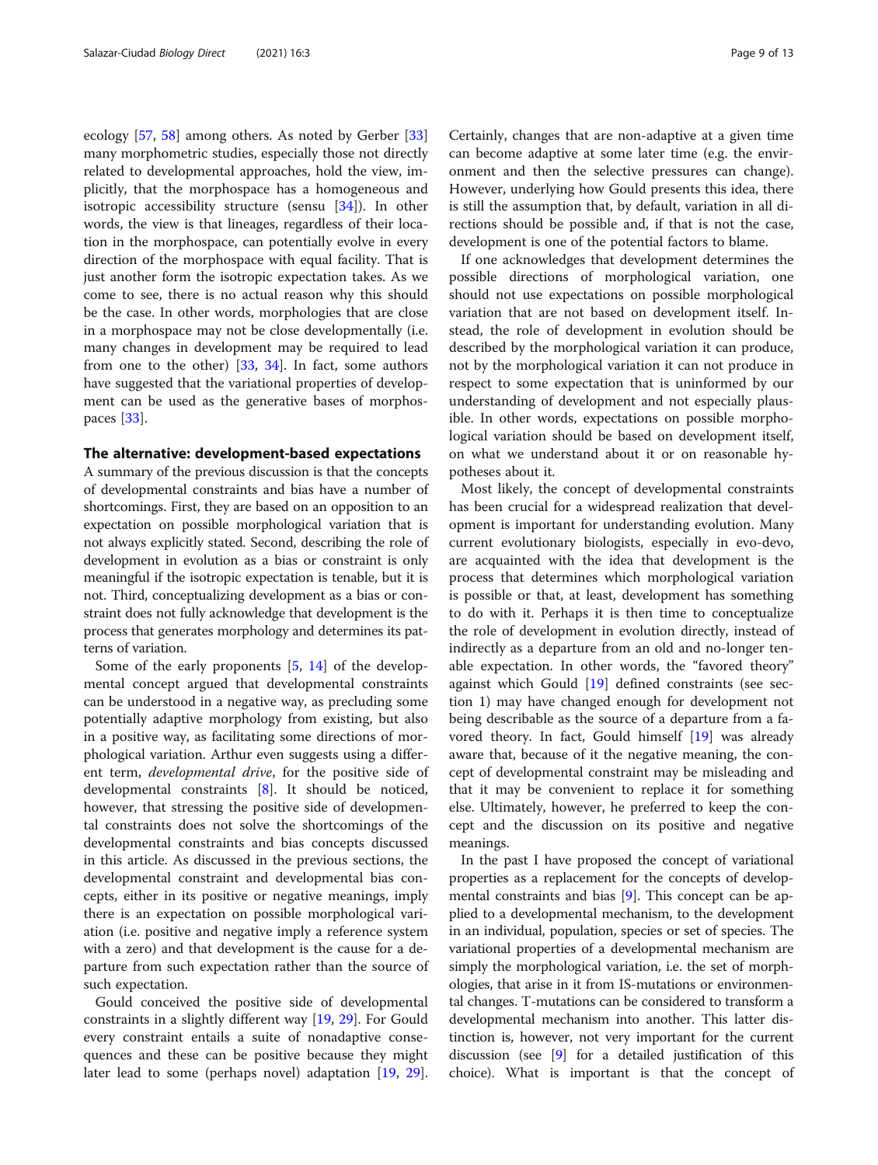ecology [\[57,](#page-12-0) [58](#page-12-0)] among others. As noted by Gerber [[33](#page-12-0)] many morphometric studies, especially those not directly related to developmental approaches, hold the view, implicitly, that the morphospace has a homogeneous and isotropic accessibility structure (sensu [[34\]](#page-12-0)). In other words, the view is that lineages, regardless of their location in the morphospace, can potentially evolve in every direction of the morphospace with equal facility. That is just another form the isotropic expectation takes. As we come to see, there is no actual reason why this should be the case. In other words, morphologies that are close in a morphospace may not be close developmentally (i.e. many changes in development may be required to lead from one to the other) [\[33,](#page-12-0) [34](#page-12-0)]. In fact, some authors have suggested that the variational properties of development can be used as the generative bases of morphospaces [[33\]](#page-12-0).

#### The alternative: development-based expectations

A summary of the previous discussion is that the concepts of developmental constraints and bias have a number of shortcomings. First, they are based on an opposition to an expectation on possible morphological variation that is not always explicitly stated. Second, describing the role of development in evolution as a bias or constraint is only meaningful if the isotropic expectation is tenable, but it is not. Third, conceptualizing development as a bias or constraint does not fully acknowledge that development is the process that generates morphology and determines its patterns of variation.

Some of the early proponents [\[5](#page-11-0), [14](#page-11-0)] of the developmental concept argued that developmental constraints can be understood in a negative way, as precluding some potentially adaptive morphology from existing, but also in a positive way, as facilitating some directions of morphological variation. Arthur even suggests using a different term, developmental drive, for the positive side of developmental constraints [[8\]](#page-11-0). It should be noticed, however, that stressing the positive side of developmental constraints does not solve the shortcomings of the developmental constraints and bias concepts discussed in this article. As discussed in the previous sections, the developmental constraint and developmental bias concepts, either in its positive or negative meanings, imply there is an expectation on possible morphological variation (i.e. positive and negative imply a reference system with a zero) and that development is the cause for a departure from such expectation rather than the source of such expectation.

Gould conceived the positive side of developmental constraints in a slightly different way [[19,](#page-11-0) [29\]](#page-12-0). For Gould every constraint entails a suite of nonadaptive consequences and these can be positive because they might later lead to some (perhaps novel) adaptation [[19,](#page-11-0) [29](#page-12-0)].

Certainly, changes that are non-adaptive at a given time can become adaptive at some later time (e.g. the environment and then the selective pressures can change). However, underlying how Gould presents this idea, there is still the assumption that, by default, variation in all directions should be possible and, if that is not the case, development is one of the potential factors to blame.

If one acknowledges that development determines the possible directions of morphological variation, one should not use expectations on possible morphological variation that are not based on development itself. Instead, the role of development in evolution should be described by the morphological variation it can produce, not by the morphological variation it can not produce in respect to some expectation that is uninformed by our understanding of development and not especially plausible. In other words, expectations on possible morphological variation should be based on development itself, on what we understand about it or on reasonable hypotheses about it.

Most likely, the concept of developmental constraints has been crucial for a widespread realization that development is important for understanding evolution. Many current evolutionary biologists, especially in evo-devo, are acquainted with the idea that development is the process that determines which morphological variation is possible or that, at least, development has something to do with it. Perhaps it is then time to conceptualize the role of development in evolution directly, instead of indirectly as a departure from an old and no-longer tenable expectation. In other words, the "favored theory" against which Gould [\[19\]](#page-11-0) defined constraints (see section 1) may have changed enough for development not being describable as the source of a departure from a favored theory. In fact, Gould himself [\[19\]](#page-11-0) was already aware that, because of it the negative meaning, the concept of developmental constraint may be misleading and that it may be convenient to replace it for something else. Ultimately, however, he preferred to keep the concept and the discussion on its positive and negative meanings.

In the past I have proposed the concept of variational properties as a replacement for the concepts of developmental constraints and bias [\[9](#page-11-0)]. This concept can be applied to a developmental mechanism, to the development in an individual, population, species or set of species. The variational properties of a developmental mechanism are simply the morphological variation, i.e. the set of morphologies, that arise in it from IS-mutations or environmental changes. T-mutations can be considered to transform a developmental mechanism into another. This latter distinction is, however, not very important for the current discussion (see [[9\]](#page-11-0) for a detailed justification of this choice). What is important is that the concept of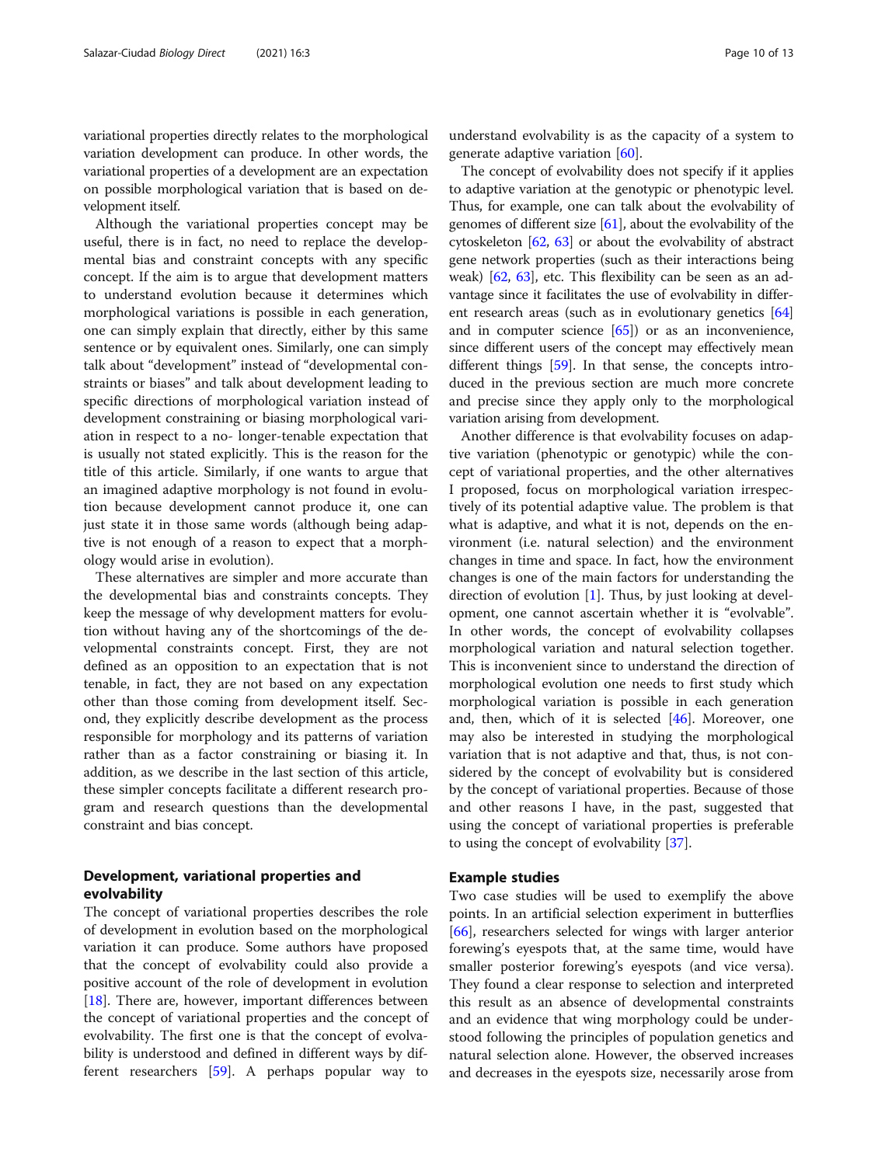variational properties directly relates to the morphological variation development can produce. In other words, the variational properties of a development are an expectation on possible morphological variation that is based on development itself.

Although the variational properties concept may be useful, there is in fact, no need to replace the developmental bias and constraint concepts with any specific concept. If the aim is to argue that development matters to understand evolution because it determines which morphological variations is possible in each generation, one can simply explain that directly, either by this same sentence or by equivalent ones. Similarly, one can simply talk about "development" instead of "developmental constraints or biases" and talk about development leading to specific directions of morphological variation instead of development constraining or biasing morphological variation in respect to a no- longer-tenable expectation that is usually not stated explicitly. This is the reason for the title of this article. Similarly, if one wants to argue that an imagined adaptive morphology is not found in evolution because development cannot produce it, one can just state it in those same words (although being adaptive is not enough of a reason to expect that a morphology would arise in evolution).

These alternatives are simpler and more accurate than the developmental bias and constraints concepts. They keep the message of why development matters for evolution without having any of the shortcomings of the developmental constraints concept. First, they are not defined as an opposition to an expectation that is not tenable, in fact, they are not based on any expectation other than those coming from development itself. Second, they explicitly describe development as the process responsible for morphology and its patterns of variation rather than as a factor constraining or biasing it. In addition, as we describe in the last section of this article, these simpler concepts facilitate a different research program and research questions than the developmental constraint and bias concept.

## Development, variational properties and evolvability

The concept of variational properties describes the role of development in evolution based on the morphological variation it can produce. Some authors have proposed that the concept of evolvability could also provide a positive account of the role of development in evolution [[18\]](#page-11-0). There are, however, important differences between the concept of variational properties and the concept of evolvability. The first one is that the concept of evolvability is understood and defined in different ways by different researchers [\[59](#page-12-0)]. A perhaps popular way to

understand evolvability is as the capacity of a system to generate adaptive variation [[60\]](#page-12-0).

The concept of evolvability does not specify if it applies to adaptive variation at the genotypic or phenotypic level. Thus, for example, one can talk about the evolvability of genomes of different size  $[61]$ , about the evolvability of the cytoskeleton [\[62,](#page-12-0) [63](#page-12-0)] or about the evolvability of abstract gene network properties (such as their interactions being weak) [[62](#page-12-0), [63\]](#page-12-0), etc. This flexibility can be seen as an advantage since it facilitates the use of evolvability in different research areas (such as in evolutionary genetics [[64](#page-12-0)] and in computer science  $[65]$  $[65]$  or as an inconvenience, since different users of the concept may effectively mean different things [[59](#page-12-0)]. In that sense, the concepts introduced in the previous section are much more concrete and precise since they apply only to the morphological variation arising from development.

Another difference is that evolvability focuses on adaptive variation (phenotypic or genotypic) while the concept of variational properties, and the other alternatives I proposed, focus on morphological variation irrespectively of its potential adaptive value. The problem is that what is adaptive, and what it is not, depends on the environment (i.e. natural selection) and the environment changes in time and space. In fact, how the environment changes is one of the main factors for understanding the direction of evolution [[1\]](#page-11-0). Thus, by just looking at development, one cannot ascertain whether it is "evolvable". In other words, the concept of evolvability collapses morphological variation and natural selection together. This is inconvenient since to understand the direction of morphological evolution one needs to first study which morphological variation is possible in each generation and, then, which of it is selected  $[46]$  $[46]$  $[46]$ . Moreover, one may also be interested in studying the morphological variation that is not adaptive and that, thus, is not considered by the concept of evolvability but is considered by the concept of variational properties. Because of those and other reasons I have, in the past, suggested that using the concept of variational properties is preferable to using the concept of evolvability [\[37](#page-12-0)].

## Example studies

Two case studies will be used to exemplify the above points. In an artificial selection experiment in butterflies [[66\]](#page-12-0), researchers selected for wings with larger anterior forewing's eyespots that, at the same time, would have smaller posterior forewing's eyespots (and vice versa). They found a clear response to selection and interpreted this result as an absence of developmental constraints and an evidence that wing morphology could be understood following the principles of population genetics and natural selection alone. However, the observed increases and decreases in the eyespots size, necessarily arose from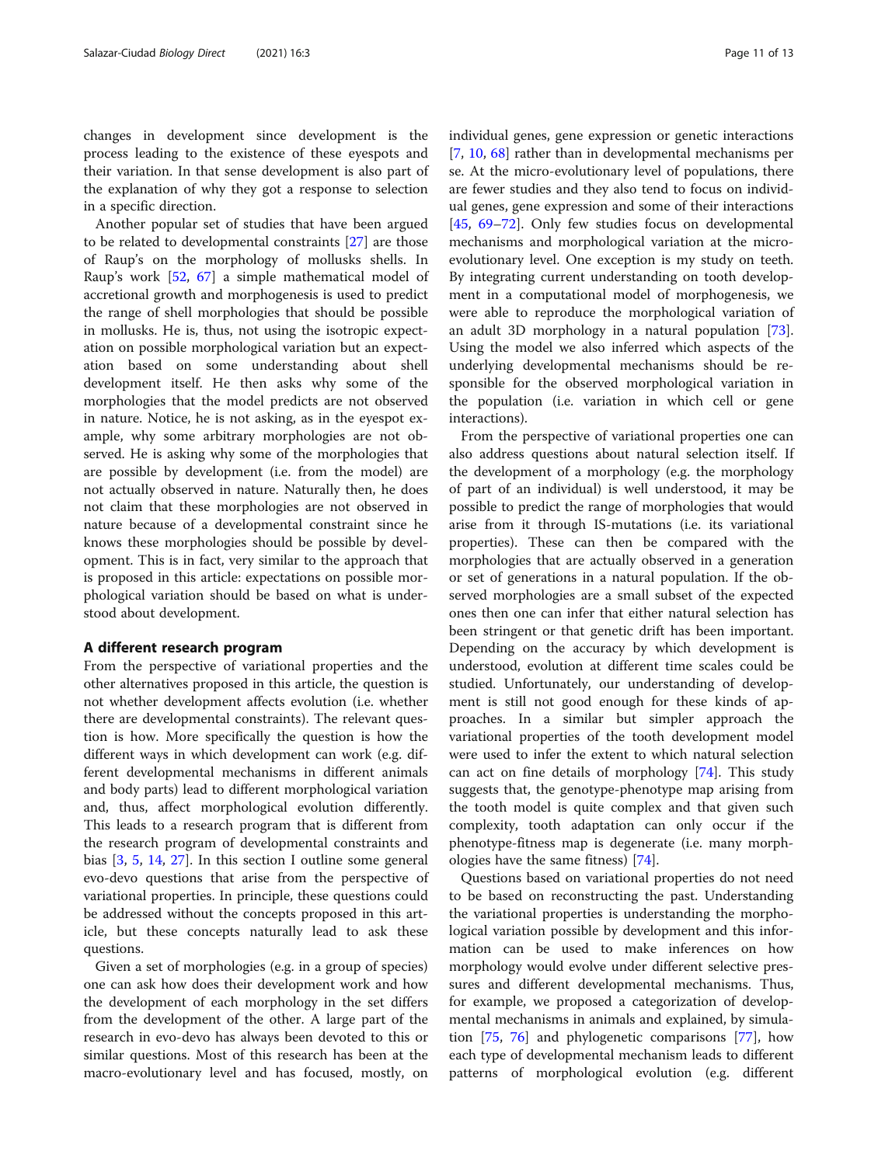changes in development since development is the process leading to the existence of these eyespots and their variation. In that sense development is also part of the explanation of why they got a response to selection in a specific direction.

Another popular set of studies that have been argued to be related to developmental constraints [\[27\]](#page-11-0) are those of Raup's on the morphology of mollusks shells. In Raup's work [[52,](#page-12-0) [67](#page-12-0)] a simple mathematical model of accretional growth and morphogenesis is used to predict the range of shell morphologies that should be possible in mollusks. He is, thus, not using the isotropic expectation on possible morphological variation but an expectation based on some understanding about shell development itself. He then asks why some of the morphologies that the model predicts are not observed in nature. Notice, he is not asking, as in the eyespot example, why some arbitrary morphologies are not observed. He is asking why some of the morphologies that are possible by development (i.e. from the model) are not actually observed in nature. Naturally then, he does not claim that these morphologies are not observed in nature because of a developmental constraint since he knows these morphologies should be possible by development. This is in fact, very similar to the approach that is proposed in this article: expectations on possible morphological variation should be based on what is understood about development.

#### A different research program

From the perspective of variational properties and the other alternatives proposed in this article, the question is not whether development affects evolution (i.e. whether there are developmental constraints). The relevant question is how. More specifically the question is how the different ways in which development can work (e.g. different developmental mechanisms in different animals and body parts) lead to different morphological variation and, thus, affect morphological evolution differently. This leads to a research program that is different from the research program of developmental constraints and bias [\[3](#page-11-0), [5,](#page-11-0) [14](#page-11-0), [27\]](#page-11-0). In this section I outline some general evo-devo questions that arise from the perspective of variational properties. In principle, these questions could be addressed without the concepts proposed in this article, but these concepts naturally lead to ask these questions.

Given a set of morphologies (e.g. in a group of species) one can ask how does their development work and how the development of each morphology in the set differs from the development of the other. A large part of the research in evo-devo has always been devoted to this or similar questions. Most of this research has been at the macro-evolutionary level and has focused, mostly, on individual genes, gene expression or genetic interactions [[7,](#page-11-0) [10,](#page-11-0) [68\]](#page-12-0) rather than in developmental mechanisms per se. At the micro-evolutionary level of populations, there are fewer studies and they also tend to focus on individual genes, gene expression and some of their interactions [[45,](#page-12-0) [69](#page-12-0)–[72](#page-12-0)]. Only few studies focus on developmental mechanisms and morphological variation at the microevolutionary level. One exception is my study on teeth. By integrating current understanding on tooth development in a computational model of morphogenesis, we were able to reproduce the morphological variation of an adult 3D morphology in a natural population [\[73](#page-12-0)]. Using the model we also inferred which aspects of the underlying developmental mechanisms should be responsible for the observed morphological variation in the population (i.e. variation in which cell or gene interactions).

From the perspective of variational properties one can also address questions about natural selection itself. If the development of a morphology (e.g. the morphology of part of an individual) is well understood, it may be possible to predict the range of morphologies that would arise from it through IS-mutations (i.e. its variational properties). These can then be compared with the morphologies that are actually observed in a generation or set of generations in a natural population. If the observed morphologies are a small subset of the expected ones then one can infer that either natural selection has been stringent or that genetic drift has been important. Depending on the accuracy by which development is understood, evolution at different time scales could be studied. Unfortunately, our understanding of development is still not good enough for these kinds of approaches. In a similar but simpler approach the variational properties of the tooth development model were used to infer the extent to which natural selection can act on fine details of morphology [\[74](#page-12-0)]. This study suggests that, the genotype-phenotype map arising from the tooth model is quite complex and that given such complexity, tooth adaptation can only occur if the phenotype-fitness map is degenerate (i.e. many morphologies have the same fitness) [\[74](#page-12-0)].

Questions based on variational properties do not need to be based on reconstructing the past. Understanding the variational properties is understanding the morphological variation possible by development and this information can be used to make inferences on how morphology would evolve under different selective pressures and different developmental mechanisms. Thus, for example, we proposed a categorization of developmental mechanisms in animals and explained, by simulation [\[75](#page-12-0), [76](#page-12-0)] and phylogenetic comparisons [\[77\]](#page-12-0), how each type of developmental mechanism leads to different patterns of morphological evolution (e.g. different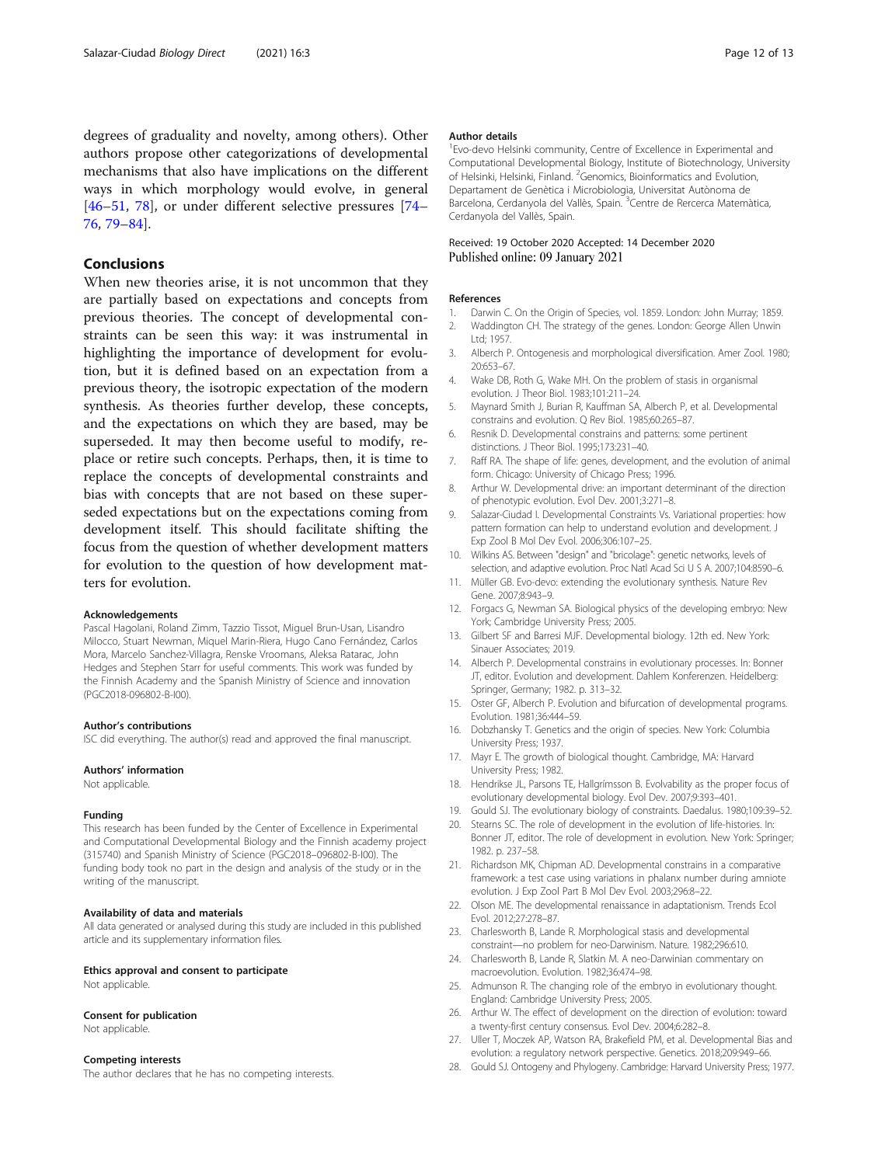<span id="page-11-0"></span>degrees of graduality and novelty, among others). Other authors propose other categorizations of developmental mechanisms that also have implications on the different ways in which morphology would evolve, in general [[46](#page-12-0)–[51](#page-12-0), [78\]](#page-12-0), or under different selective pressures [[74](#page-12-0)– [76,](#page-12-0) [79](#page-12-0)–[84](#page-12-0)].

## Conclusions

When new theories arise, it is not uncommon that they are partially based on expectations and concepts from previous theories. The concept of developmental constraints can be seen this way: it was instrumental in highlighting the importance of development for evolution, but it is defined based on an expectation from a previous theory, the isotropic expectation of the modern synthesis. As theories further develop, these concepts, and the expectations on which they are based, may be superseded. It may then become useful to modify, replace or retire such concepts. Perhaps, then, it is time to replace the concepts of developmental constraints and bias with concepts that are not based on these superseded expectations but on the expectations coming from development itself. This should facilitate shifting the focus from the question of whether development matters for evolution to the question of how development matters for evolution.

#### Acknowledgements

Pascal Hagolani, Roland Zimm, Tazzio Tissot, Miguel Brun-Usan, Lisandro Milocco, Stuart Newman, Miquel Marin-Riera, Hugo Cano Fernández, Carlos Mora, Marcelo Sanchez-Villagra, Renske Vroomans, Aleksa Ratarac, John Hedges and Stephen Starr for useful comments. This work was funded by the Finnish Academy and the Spanish Ministry of Science and innovation (PGC2018-096802-B-I00).

#### Author's contributions

ISC did everything. The author(s) read and approved the final manuscript.

#### Authors' information

Not applicable.

#### Funding

This research has been funded by the Center of Excellence in Experimental and Computational Developmental Biology and the Finnish academy project (315740) and Spanish Ministry of Science (PGC2018–096802-B-I00). The funding body took no part in the design and analysis of the study or in the writing of the manuscript.

#### Availability of data and materials

All data generated or analysed during this study are included in this published article and its supplementary information files.

## Ethics approval and consent to participate

Not applicable.

#### Consent for publication

Not applicable.

#### Competing interests

The author declares that he has no competing interests.

### Author details

1 Evo-devo Helsinki community, Centre of Excellence in Experimental and Computational Developmental Biology, Institute of Biotechnology, University of Helsinki, Helsinki, Finland. <sup>2</sup> Genomics, Bioinformatics and Evolution, Departament de Genètica i Microbiologia, Universitat Autònoma de Barcelona, Cerdanyola del Vallès, Spain. <sup>3</sup>Centre de Rercerca Matemàtica Cerdanyola del Vallès, Spain.

#### Received: 19 October 2020 Accepted: 14 December 2020 Published online: 09 January 2021

#### References

- 1. Darwin C. On the Origin of Species, vol. 1859. London: John Murray; 1859.
- 2. Waddington CH. The strategy of the genes. London: George Allen Unwin Ltd; 1957.
- 3. Alberch P. Ontogenesis and morphological diversification. Amer Zool. 1980; 20:653–67.
- 4. Wake DB, Roth G, Wake MH. On the problem of stasis in organismal evolution. J Theor Biol. 1983;101:211–24.
- 5. Maynard Smith J, Burian R, Kauffman SA, Alberch P, et al. Developmental constrains and evolution. Q Rev Biol. 1985;60:265–87.
- 6. Resnik D. Developmental constrains and patterns: some pertinent distinctions. J Theor Biol. 1995;173:231–40.
- 7. Raff RA. The shape of life: genes, development, and the evolution of animal form. Chicago: University of Chicago Press; 1996.
- 8. Arthur W. Developmental drive: an important determinant of the direction of phenotypic evolution. Evol Dev. 2001;3:271–8.
- 9. Salazar-Ciudad I. Developmental Constraints Vs. Variational properties: how pattern formation can help to understand evolution and development. J Exp Zool B Mol Dev Evol. 2006;306:107–25.
- 10. Wilkins AS. Between "design" and "bricolage": genetic networks, levels of selection, and adaptive evolution. Proc Natl Acad Sci U S A. 2007;104:8590–6.
- 11. Müller GB. Evo-devo: extending the evolutionary synthesis. Nature Rev Gene. 2007;8:943–9.
- 12. Forgacs G, Newman SA. Biological physics of the developing embryo: New York; Cambridge University Press; 2005.
- 13. Gilbert SF and Barresi MJF. Developmental biology. 12th ed. New York: Sinauer Associates; 2019.
- 14. Alberch P. Developmental constrains in evolutionary processes. In: Bonner JT, editor. Evolution and development. Dahlem Konferenzen. Heidelberg: Springer, Germany; 1982. p. 313–32.
- 15. Oster GF, Alberch P. Evolution and bifurcation of developmental programs. Evolution. 1981;36:444–59.
- 16. Dobzhansky T. Genetics and the origin of species. New York: Columbia University Press; 1937.
- 17. Mayr E. The growth of biological thought. Cambridge, MA: Harvard University Press; 1982.
- 18. Hendrikse JL, Parsons TE, Hallgrímsson B. Evolvability as the proper focus of evolutionary developmental biology. Evol Dev. 2007;9:393–401.
- 19. Gould SJ. The evolutionary biology of constraints. Daedalus. 1980;109:39–52.
- 20. Stearns SC. The role of development in the evolution of life-histories. In: Bonner JT, editor. The role of development in evolution. New York: Springer; 1982. p. 237–58.
- 21. Richardson MK, Chipman AD. Developmental constrains in a comparative framework: a test case using variations in phalanx number during amniote evolution. J Exp Zool Part B Mol Dev Evol. 2003;296:8–22.
- 22. Olson ME. The developmental renaissance in adaptationism. Trends Ecol Evol. 2012;27:278–87.
- 23. Charlesworth B, Lande R. Morphological stasis and developmental constraint—no problem for neo-Darwinism. Nature. 1982;296:610.
- 24. Charlesworth B, Lande R, Slatkin M. A neo-Darwinian commentary on macroevolution. Evolution. 1982;36:474–98.
- 25. Admunson R. The changing role of the embryo in evolutionary thought. England: Cambridge University Press; 2005.
- 26. Arthur W. The effect of development on the direction of evolution: toward a twenty-first century consensus. Evol Dev. 2004;6:282–8.
- 27. Uller T, Moczek AP, Watson RA, Brakefield PM, et al. Developmental Bias and evolution: a regulatory network perspective. Genetics. 2018;209:949–66.
- 28. Gould SJ. Ontogeny and Phylogeny. Cambridge: Harvard University Press; 1977.